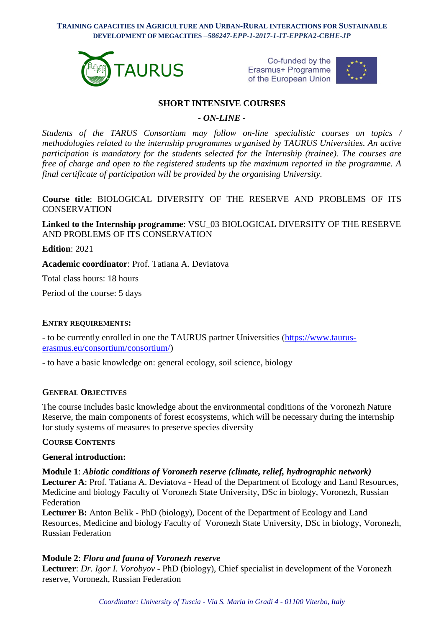**TRAINING CAPACITIES IN AGRICULTURE AND URBAN-RURAL INTERACTIONS FOR SUSTAINABLE DEVELOPMENT OF MEGACITIES –***586247-EPP-1-2017-1-IT-EPPKA2-CBHE-JP*



Co-funded by the Erasmus+ Programme of the European Union



# **SHORT INTENSIVE COURSES**

*- ON-LINE -*

*Students of the TARUS Consortium may follow on-line specialistic courses on topics / methodologies related to the internship programmes organised by TAURUS Universities. An active participation is mandatory for the students selected for the Internship (trainee). The courses are free of charge and open to the registered students up the maximum reported in the programme. A final certificate of participation will be provided by the organising University.*

**Course title**: BIOLOGICAL DIVERSITY OF THE RESERVE AND PROBLEMS OF ITS **CONSERVATION** 

**Linked to the Internship programme**: VSU\_03 BIOLOGICAL DIVERSITY OF THE RESERVE AND PROBLEMS OF ITS CONSERVATION

**Edition**: 2021

**Academic coordinator**: Prof. Tatiana A. Deviatova

Total class hours: 18 hours

Period of the course: 5 days

#### **ENTRY REQUIREMENTS:**

- to be currently enrolled in one the TAURUS partner Universities [\(https://www.taurus](https://www.taurus-erasmus.eu/consortium/consortium/)[erasmus.eu/consortium/consortium/\)](https://www.taurus-erasmus.eu/consortium/consortium/)

- to have a basic knowledge on: general ecology, soil science, biology

#### **GENERAL OBJECTIVES**

The course includes basic knowledge about the environmental conditions of the Voronezh Nature Reserve, the main components of forest ecosystems, which will be necessary during the internship for study systems of measures to preserve species diversity

#### **COURSE CONTENTS**

## **General introduction:**

**Module 1**: *Abiotic conditions of Voronezh reserve (climate, relief, hydrographic network)* **Lecturer A**: Prof. Tatiana A. Deviatova - Head of the Department of Ecology and Land Resources, Medicine and biology Faculty of Voronezh State University, DSc in biology, Voronezh, Russian **Federation** 

Lecturer B: Anton Belik - PhD (biology), Docent of the Department of Ecology and Land Resources, Medicine and biology Faculty of Voronezh State University, DSc in biology, Voronezh, Russian Federation

## **Module 2**: *Flora and fauna of Voronezh reserve*

**Lecturer**: *Dr. Igor I. Vorobyov* - PhD (biology), Chief specialist in development of the Voronezh reserve, Voronezh, Russian Federation